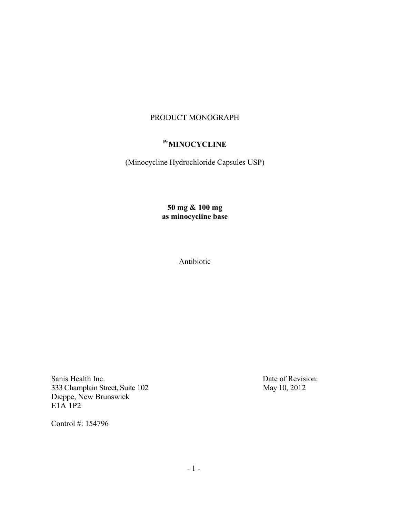## PRODUCT MONOGRAPH

# Pr<sub>MINOCYCLINE</sub>

(Minocycline Hydrochloride Capsules USP)

## **50 mg & 100 mg as minocycline base**

Antibiotic

Sanis Health Inc. Date of Revision: 333 Champlain Street, Suite 102 May 10, 2012 Dieppe, New Brunswick  $E1\overrightarrow{A}1\overrightarrow{P}2$ 

Control #: 154796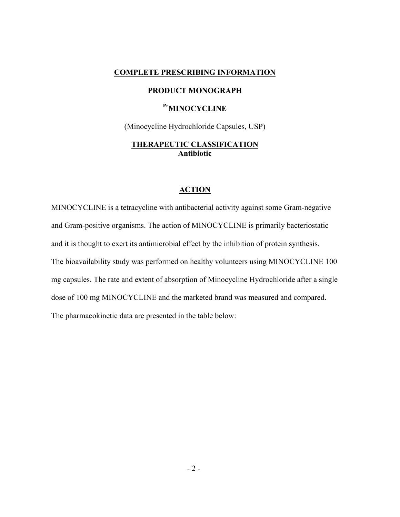#### **COMPLETE PRESCRIBING INFORMATION**

#### **PRODUCT MONOGRAPH**

## **PrMINOCYCLINE**

(Minocycline Hydrochloride Capsules, USP)

### **THERAPEUTIC CLASSIFICATION Antibiotic**

#### **ACTION**

MINOCYCLINE is a tetracycline with antibacterial activity against some Gram-negative and Gram-positive organisms. The action of MINOCYCLINE is primarily bacteriostatic and it is thought to exert its antimicrobial effect by the inhibition of protein synthesis. The bioavailability study was performed on healthy volunteers using MINOCYCLINE 100 mg capsules. The rate and extent of absorption of Minocycline Hydrochloride after a single dose of 100 mg MINOCYCLINE and the marketed brand was measured and compared. The pharmacokinetic data are presented in the table below: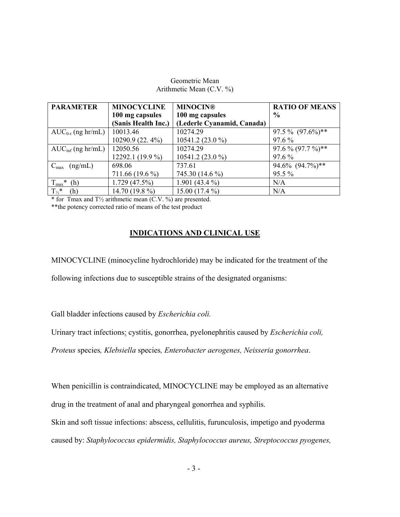#### Geometric Mean Arithmetic Mean (C.V. %)

| <b>PARAMETER</b>              | <b>MINOCYCLINE</b>  | <b>MINOCIN®</b>            | <b>RATIO OF MEANS</b> |
|-------------------------------|---------------------|----------------------------|-----------------------|
|                               | 100 mg capsules     | 100 mg capsules            | $\frac{0}{0}$         |
|                               | (Sanis Health Inc.) | (Lederle Cyanamid, Canada) |                       |
| $AUC_{0-t}$ (ng hr/mL)        | 10013.46            | 10274.29                   | $97.5\%$ $(97.6\%)**$ |
|                               | 10290.9 (22.4%)     | 10541.2 (23.0 %)           | $97.6\%$              |
| $AUC_{\text{inf}}$ (ng hr/mL) | 12050.56            | 10274.29                   | $97.6\% (97.7\%)**$   |
|                               | 12292.1 (19.9 %)    | 10541.2 (23.0 %)           | $97.6\%$              |
| $C_{\text{max}}$<br>(ng/mL)   | 698.06              | 737.61                     | 94.6% (94.7%)**       |
|                               | 711.66 (19.6 %)     | 745.30 (14.6 %)            | $95.5\%$              |
| $T_{\text{max}}$ *<br>(h)     | $1.729(47.5\%)$     | 1.901 (43.4 $\%$ )         | N/A                   |
| $T_{\frac{1}{2}}$ *<br>(h)    | 14.70 (19.8 $\%$ )  | $15.00(17.4\%)$            | N/A                   |

\* for Tmax and T½ arithmetic mean (C.V. %) are presented.

\*\*the potency corrected ratio of means of the test product

## **INDICATIONS AND CLINICAL USE**

MINOCYCLINE (minocycline hydrochloride) may be indicated for the treatment of the

following infections due to susceptible strains of the designated organisms:

Gall bladder infections caused by *Escherichia coli.*

Urinary tract infections: cystitis, gonorrhea, pyelonephritis caused by *Escherichia coli,*

*Proteus* species*, Klebsiella* species*, Enterobacter aerogenes, Neisseria gonorrhea*.

When penicillin is contraindicated, MINOCYCLINE may be employed as an alternative drug in the treatment of anal and pharyngeal gonorrhea and syphilis.

Skin and soft tissue infections: abscess, cellulitis, furunculosis, impetigo and pyoderma caused by: *Staphylococcus epidermidis, Staphylococcus aureus, Streptococcus pyogenes,*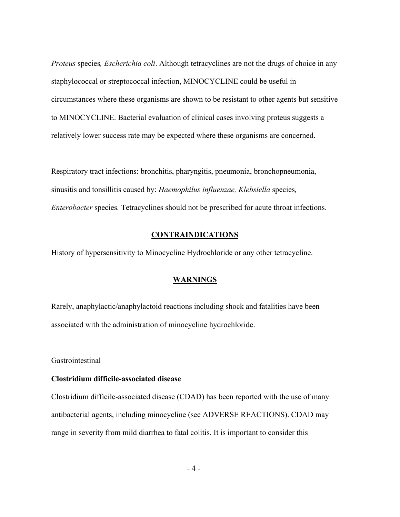*Proteus* species*, Escherichia coli*. Although tetracyclines are not the drugs of choice in any staphylococcal or streptococcal infection, MINOCYCLINE could be useful in circumstances where these organisms are shown to be resistant to other agents but sensitive to MINOCYCLINE. Bacterial evaluation of clinical cases involving proteus suggests a relatively lower success rate may be expected where these organisms are concerned.

Respiratory tract infections: bronchitis, pharyngitis, pneumonia, bronchopneumonia, sinusitis and tonsillitis caused by: *Haemophilus influenzae, Klebsiella* species*, Enterobacter* species*.* Tetracyclines should not be prescribed for acute throat infections.

#### **CONTRAINDICATIONS**

History of hypersensitivity to Minocycline Hydrochloride or any other tetracycline.

#### **WARNINGS**

Rarely, anaphylactic/anaphylactoid reactions including shock and fatalities have been associated with the administration of minocycline hydrochloride.

#### **Gastrointestinal**

#### **Clostridium difficile-associated disease**

Clostridium difficile-associated disease (CDAD) has been reported with the use of many antibacterial agents, including minocycline (see ADVERSE REACTIONS). CDAD may range in severity from mild diarrhea to fatal colitis. It is important to consider this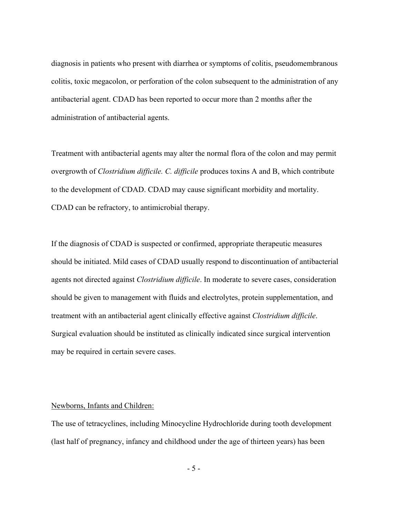diagnosis in patients who present with diarrhea or symptoms of colitis, pseudomembranous colitis, toxic megacolon, or perforation of the colon subsequent to the administration of any antibacterial agent. CDAD has been reported to occur more than 2 months after the administration of antibacterial agents.

Treatment with antibacterial agents may alter the normal flora of the colon and may permit overgrowth of *Clostridium difficile. C. difficile* produces toxins A and B, which contribute to the development of CDAD. CDAD may cause significant morbidity and mortality. CDAD can be refractory, to antimicrobial therapy.

If the diagnosis of CDAD is suspected or confirmed, appropriate therapeutic measures should be initiated. Mild cases of CDAD usually respond to discontinuation of antibacterial agents not directed against *Clostridium difficile*. In moderate to severe cases, consideration should be given to management with fluids and electrolytes, protein supplementation, and treatment with an antibacterial agent clinically effective against *Clostridium difficile*. Surgical evaluation should be instituted as clinically indicated since surgical intervention may be required in certain severe cases.

#### Newborns, Infants and Children:

The use of tetracyclines, including Minocycline Hydrochloride during tooth development (last half of pregnancy, infancy and childhood under the age of thirteen years) has been

-5-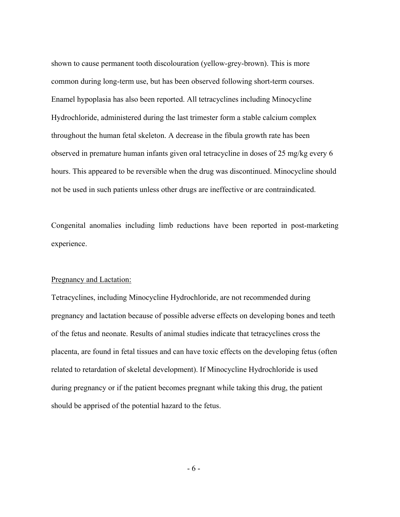shown to cause permanent tooth discolouration (yellow-grey-brown). This is more common during long-term use, but has been observed following short-term courses. Enamel hypoplasia has also been reported. All tetracyclines including Minocycline Hydrochloride, administered during the last trimester form a stable calcium complex throughout the human fetal skeleton. A decrease in the fibula growth rate has been observed in premature human infants given oral tetracycline in doses of 25 mg/kg every 6 hours. This appeared to be reversible when the drug was discontinued. Minocycline should not be used in such patients unless other drugs are ineffective or are contraindicated.

Congenital anomalies including limb reductions have been reported in post-marketing experience.

#### Pregnancy and Lactation:

Tetracyclines, including Minocycline Hydrochloride, are not recommended during pregnancy and lactation because of possible adverse effects on developing bones and teeth of the fetus and neonate. Results of animal studies indicate that tetracyclines cross the placenta, are found in fetal tissues and can have toxic effects on the developing fetus (often related to retardation of skeletal development). If Minocycline Hydrochloride is used during pregnancy or if the patient becomes pregnant while taking this drug, the patient should be apprised of the potential hazard to the fetus.

-6-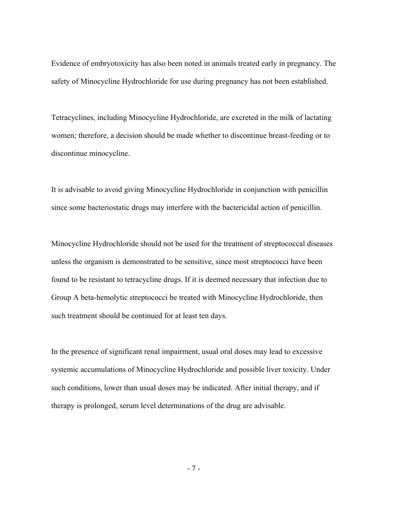Evidence of embryotoxicity has also been noted in animals treated early in pregnancy. The safety of Minocycline Hydrochloride for use during pregnancy has not been established.

Tetracyclines, including Minocycline Hydrochloride, are excreted in the milk of lactating women; therefore, a decision should be made whether to discontinue breast-feeding or to discontinue minocycline.

It is advisable to avoid giving Minocycline Hydrochloride in conjunction with penicillin since some bacteriostatic drugs may interfere with the bactericidal action of penicillin.

Minocycline Hydrochloride should not be used for the treatment of streptococcal diseases unless the organism is demonstrated to be sensitive, since most streptococci have been found to be resistant to tetracycline drugs. If it is deemed necessary that infection due to Group A beta-hemolytic streptococci be treated with Minocycline Hydrochloride, then such treatment should be continued for at least ten days.

In the presence of significant renal impairment, usual oral doses may lead to excessive systemic accumulations of Minocycline Hydrochloride and possible liver toxicity. Under such conditions, lower than usual doses may be indicated. After initial therapy, and if therapy is prolonged, serum level determinations of the drug are advisable.

-7-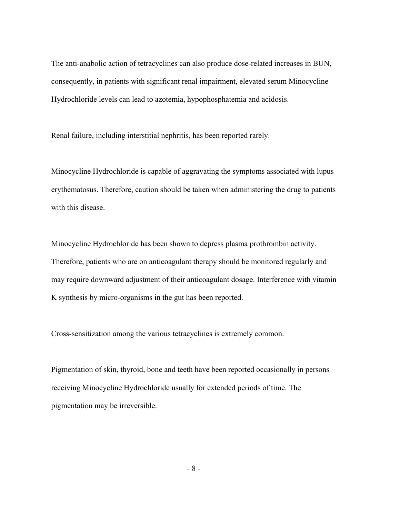The anti-anabolic action of tetracyclines can also produce dose-related increases in BUN, consequently, in patients with significant renal impairment, elevated serum Minocycline Hydrochloride levels can lead to azotemia, hypophosphatemia and acidosis.

Renal failure, including interstitial nephritis, has been reported rarely.

Minocycline Hydrochloride is capable of aggravating the symptoms associated with lupus erythematosus. Therefore, caution should be taken when administering the drug to patients with this disease.

Minocycline Hydrochloride has been shown to depress plasma prothrombin activity. Therefore, patients who are on anticoagulant therapy should be monitored regularly and may require downward adjustment of their anticoagulant dosage. Interference with vitamin K synthesis by micro-organisms in the gut has been reported.

Cross-sensitization among the various tetracyclines is extremely common.

Pigmentation of skin, thyroid, bone and teeth have been reported occasionally in persons receiving Minocycline Hydrochloride usually for extended periods of time. The pigmentation may be irreversible.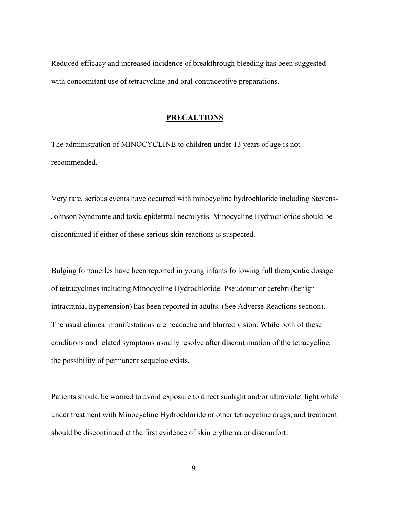Reduced efficacy and increased incidence of breakthrough bleeding has been suggested with concomitant use of tetracycline and oral contraceptive preparations.

#### **PRECAUTIONS**

The administration of MINOCYCLINE to children under 13 years of age is not recommended.

Very rare, serious events have occurred with minocycline hydrochloride including Stevens-Johnson Syndrome and toxic epidermal necrolysis. Minocycline Hydrochloride should be discontinued if either of these serious skin reactions is suspected.

Bulging fontanelles have been reported in young infants following full therapeutic dosage of tetracyclines including Minocycline Hydrochloride. Pseudotumor cerebri (benign intracranial hypertension) has been reported in adults. (See Adverse Reactions section). The usual clinical manifestations are headache and blurred vision. While both of these conditions and related symptoms usually resolve after discontinuation of the tetracycline, the possibility of permanent sequelae exists.

Patients should be warned to avoid exposure to direct sunlight and/or ultraviolet light while under treatment with Minocycline Hydrochloride or other tetracycline drugs, and treatment should be discontinued at the first evidence of skin erythema or discomfort.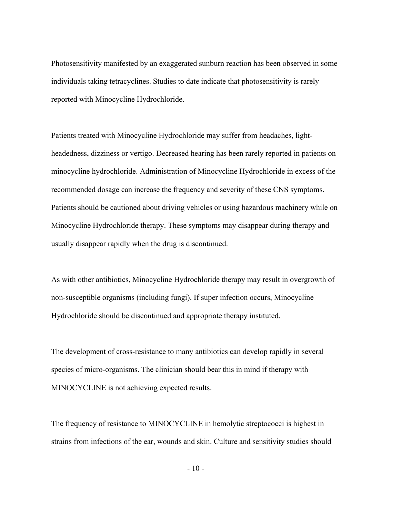Photosensitivity manifested by an exaggerated sunburn reaction has been observed in some individuals taking tetracyclines. Studies to date indicate that photosensitivity is rarely reported with Minocycline Hydrochloride.

Patients treated with Minocycline Hydrochloride may suffer from headaches, lightheadedness, dizziness or vertigo. Decreased hearing has been rarely reported in patients on minocycline hydrochloride. Administration of Minocycline Hydrochloride in excess of the recommended dosage can increase the frequency and severity of these CNS symptoms. Patients should be cautioned about driving vehicles or using hazardous machinery while on Minocycline Hydrochloride therapy. These symptoms may disappear during therapy and usually disappear rapidly when the drug is discontinued.

As with other antibiotics, Minocycline Hydrochloride therapy may result in overgrowth of non-susceptible organisms (including fungi). If super infection occurs, Minocycline Hydrochloride should be discontinued and appropriate therapy instituted.

The development of cross-resistance to many antibiotics can develop rapidly in several species of micro-organisms. The clinician should bear this in mind if therapy with MINOCYCLINE is not achieving expected results.

The frequency of resistance to MINOCYCLINE in hemolytic streptococci is highest in strains from infections of the ear, wounds and skin. Culture and sensitivity studies should

 $-10-$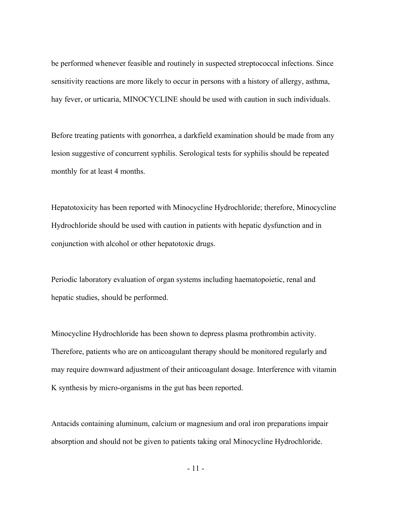be performed whenever feasible and routinely in suspected streptococcal infections. Since sensitivity reactions are more likely to occur in persons with a history of allergy, asthma, hay fever, or urticaria, MINOCYCLINE should be used with caution in such individuals.

Before treating patients with gonorrhea, a darkfield examination should be made from any lesion suggestive of concurrent syphilis. Serological tests for syphilis should be repeated monthly for at least 4 months.

Hepatotoxicity has been reported with Minocycline Hydrochloride; therefore, Minocycline Hydrochloride should be used with caution in patients with hepatic dysfunction and in conjunction with alcohol or other hepatotoxic drugs.

Periodic laboratory evaluation of organ systems including haematopoietic, renal and hepatic studies, should be performed.

Minocycline Hydrochloride has been shown to depress plasma prothrombin activity. Therefore, patients who are on anticoagulant therapy should be monitored regularly and may require downward adjustment of their anticoagulant dosage. Interference with vitamin K synthesis by micro-organisms in the gut has been reported.

Antacids containing aluminum, calcium or magnesium and oral iron preparations impair absorption and should not be given to patients taking oral Minocycline Hydrochloride.

- 11 -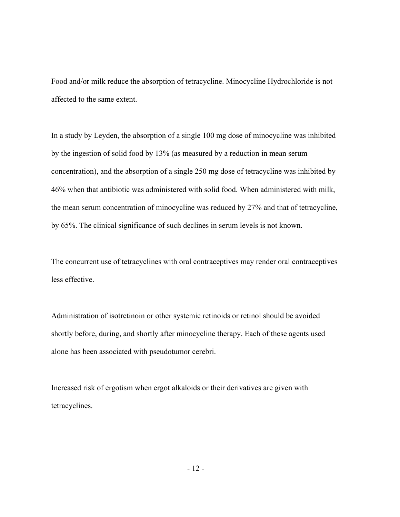Food and/or milk reduce the absorption of tetracycline. Minocycline Hydrochloride is not affected to the same extent.

In a study by Leyden, the absorption of a single 100 mg dose of minocycline was inhibited by the ingestion of solid food by 13% (as measured by a reduction in mean serum concentration), and the absorption of a single 250 mg dose of tetracycline was inhibited by 46% when that antibiotic was administered with solid food. When administered with milk, the mean serum concentration of minocycline was reduced by 27% and that of tetracycline, by 65%. The clinical significance of such declines in serum levels is not known.

The concurrent use of tetracyclines with oral contraceptives may render oral contraceptives less effective.

Administration of isotretinoin or other systemic retinoids or retinol should be avoided shortly before, during, and shortly after minocycline therapy. Each of these agents used alone has been associated with pseudotumor cerebri.

Increased risk of ergotism when ergot alkaloids or their derivatives are given with tetracyclines.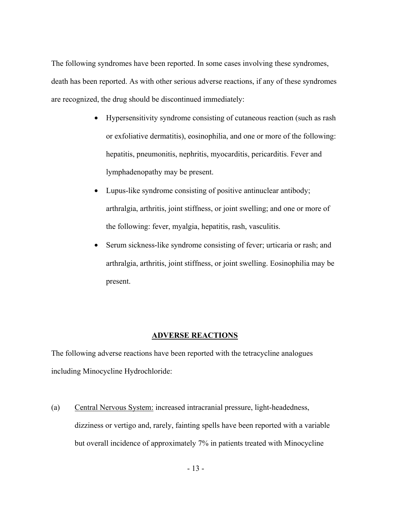The following syndromes have been reported. In some cases involving these syndromes, death has been reported. As with other serious adverse reactions, if any of these syndromes are recognized, the drug should be discontinued immediately:

- Hypersensitivity syndrome consisting of cutaneous reaction (such as rash or exfoliative dermatitis), eosinophilia, and one or more of the following: hepatitis, pneumonitis, nephritis, myocarditis, pericarditis. Fever and lymphadenopathy may be present.
- Lupus-like syndrome consisting of positive antinuclear antibody; arthralgia, arthritis, joint stiffness, or joint swelling; and one or more of the following: fever, myalgia, hepatitis, rash, vasculitis.
- Serum sickness-like syndrome consisting of fever; urticaria or rash; and arthralgia, arthritis, joint stiffness, or joint swelling. Eosinophilia may be present.

#### **ADVERSE REACTIONS**

The following adverse reactions have been reported with the tetracycline analogues including Minocycline Hydrochloride:

(a) Central Nervous System: increased intracranial pressure, light-headedness, dizziness or vertigo and, rarely, fainting spells have been reported with a variable but overall incidence of approximately 7% in patients treated with Minocycline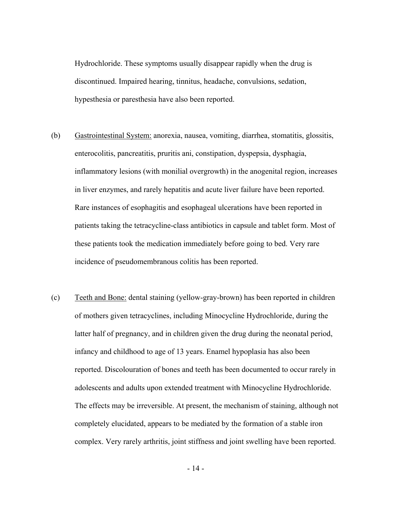Hydrochloride. These symptoms usually disappear rapidly when the drug is discontinued. Impaired hearing, tinnitus, headache, convulsions, sedation, hypesthesia or paresthesia have also been reported.

- (b) Gastrointestinal System: anorexia, nausea, vomiting, diarrhea, stomatitis, glossitis, enterocolitis, pancreatitis, pruritis ani, constipation, dyspepsia, dysphagia, inflammatory lesions (with monilial overgrowth) in the anogenital region, increases in liver enzymes, and rarely hepatitis and acute liver failure have been reported. Rare instances of esophagitis and esophageal ulcerations have been reported in patients taking the tetracycline-class antibiotics in capsule and tablet form. Most of these patients took the medication immediately before going to bed. Very rare incidence of pseudomembranous colitis has been reported.
- (c) Teeth and Bone: dental staining (yellow-gray-brown) has been reported in children of mothers given tetracyclines, including Minocycline Hydrochloride, during the latter half of pregnancy, and in children given the drug during the neonatal period, infancy and childhood to age of 13 years. Enamel hypoplasia has also been reported. Discolouration of bones and teeth has been documented to occur rarely in adolescents and adults upon extended treatment with Minocycline Hydrochloride. The effects may be irreversible. At present, the mechanism of staining, although not completely elucidated, appears to be mediated by the formation of a stable iron complex. Very rarely arthritis, joint stiffness and joint swelling have been reported.

- 14 -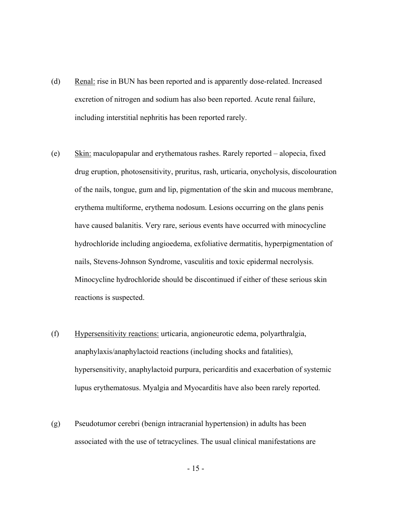- (d) Renal: rise in BUN has been reported and is apparently dose-related. Increased excretion of nitrogen and sodium has also been reported. Acute renal failure, including interstitial nephritis has been reported rarely.
- (e) Skin: maculopapular and erythematous rashes. Rarely reported alopecia, fixed drug eruption, photosensitivity, pruritus, rash, urticaria, onycholysis, discolouration of the nails, tongue, gum and lip, pigmentation of the skin and mucous membrane, erythema multiforme, erythema nodosum. Lesions occurring on the glans penis have caused balanitis. Very rare, serious events have occurred with minocycline hydrochloride including angioedema, exfoliative dermatitis, hyperpigmentation of nails, Stevens-Johnson Syndrome, vasculitis and toxic epidermal necrolysis. Minocycline hydrochloride should be discontinued if either of these serious skin reactions is suspected.
- (f) Hypersensitivity reactions: urticaria, angioneurotic edema, polyarthralgia, anaphylaxis/anaphylactoid reactions (including shocks and fatalities), hypersensitivity, anaphylactoid purpura, pericarditis and exacerbation of systemic lupus erythematosus. Myalgia and Myocarditis have also been rarely reported.
- (g) Pseudotumor cerebri (benign intracranial hypertension) in adults has been associated with the use of tetracyclines. The usual clinical manifestations are

- 15 -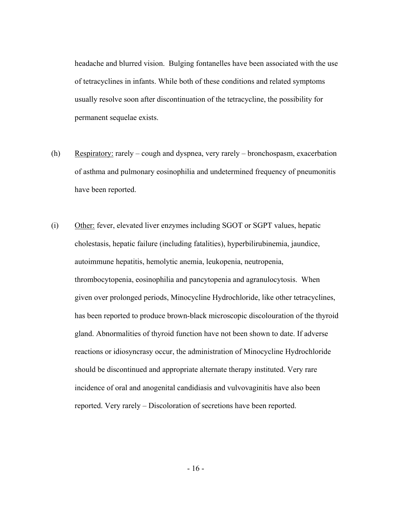headache and blurred vision. Bulging fontanelles have been associated with the use of tetracyclines in infants. While both of these conditions and related symptoms usually resolve soon after discontinuation of the tetracycline, the possibility for permanent sequelae exists.

- (h) Respiratory: rarely cough and dyspnea, very rarely bronchospasm, exacerbation of asthma and pulmonary eosinophilia and undetermined frequency of pneumonitis have been reported.
- (i) Other: fever, elevated liver enzymes including SGOT or SGPT values, hepatic cholestasis, hepatic failure (including fatalities), hyperbilirubinemia, jaundice, autoimmune hepatitis, hemolytic anemia, leukopenia, neutropenia, thrombocytopenia, eosinophilia and pancytopenia and agranulocytosis. When given over prolonged periods, Minocycline Hydrochloride, like other tetracyclines, has been reported to produce brown-black microscopic discolouration of the thyroid gland. Abnormalities of thyroid function have not been shown to date. If adverse reactions or idiosyncrasy occur, the administration of Minocycline Hydrochloride should be discontinued and appropriate alternate therapy instituted. Very rare incidence of oral and anogenital candidiasis and vulvovaginitis have also been reported. Very rarely – Discoloration of secretions have been reported.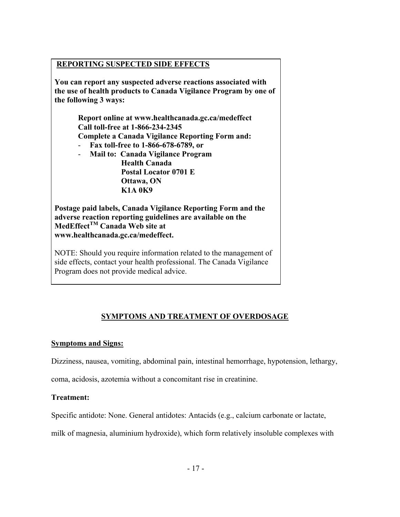## **REPORTING SUSPECTED SIDE EFFECTS**

**You can report any suspected adverse reactions associated with the use of health products to Canada Vigilance Program by one of the following 3 ways:** 

> **Report online at www.healthcanada.gc.ca/medeffect Call toll-free at 1-866-234-2345 Complete a Canada Vigilance Reporting Form and:**

- **Fax toll-free to 1-866-678-6789, or**
- **Mail to: Canada Vigilance Program Health Canada Postal Locator 0701 E Ottawa, ON K1A 0K9**

**Postage paid labels, Canada Vigilance Reporting Form and the adverse reaction reporting guidelines are available on the MedEffectTM Canada Web site at www.healthcanada.gc.ca/medeffect.**

NOTE: Should you require information related to the management of side effects, contact your health professional. The Canada Vigilance Program does not provide medical advice.

# **SYMPTOMS AND TREATMENT OF OVERDOSAGE**

## **Symptoms and Signs:**

Dizziness, nausea, vomiting, abdominal pain, intestinal hemorrhage, hypotension, lethargy,

coma, acidosis, azotemia without a concomitant rise in creatinine.

## **Treatment:**

Specific antidote: None. General antidotes: Antacids (e.g., calcium carbonate or lactate,

milk of magnesia, aluminium hydroxide), which form relatively insoluble complexes with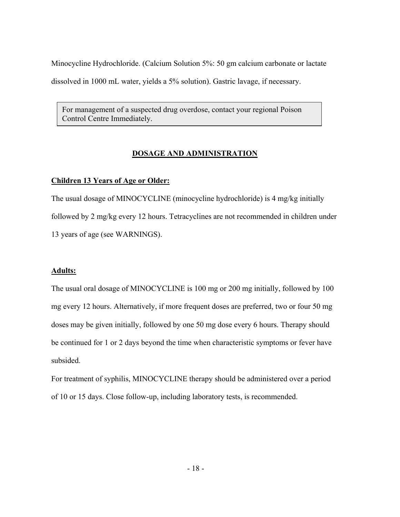Minocycline Hydrochloride. (Calcium Solution 5%: 50 gm calcium carbonate or lactate dissolved in 1000 mL water, yields a 5% solution). Gastric lavage, if necessary.

For management of a suspected drug overdose, contact your regional Poison Control Centre Immediately.

## **DOSAGE AND ADMINISTRATION**

### **Children 13 Years of Age or Older:**

The usual dosage of MINOCYCLINE (minocycline hydrochloride) is 4 mg/kg initially followed by 2 mg/kg every 12 hours. Tetracyclines are not recommended in children under 13 years of age (see WARNINGS).

#### **Adults:**

The usual oral dosage of MINOCYCLINE is 100 mg or 200 mg initially, followed by 100 mg every 12 hours. Alternatively, if more frequent doses are preferred, two or four 50 mg doses may be given initially, followed by one 50 mg dose every 6 hours. Therapy should be continued for 1 or 2 days beyond the time when characteristic symptoms or fever have subsided.

For treatment of syphilis, MINOCYCLINE therapy should be administered over a period of 10 or 15 days. Close follow-up, including laboratory tests, is recommended.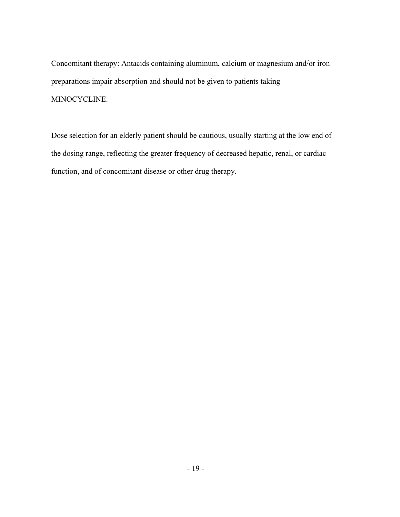Concomitant therapy: Antacids containing aluminum, calcium or magnesium and/or iron preparations impair absorption and should not be given to patients taking MINOCYCLINE.

Dose selection for an elderly patient should be cautious, usually starting at the low end of the dosing range, reflecting the greater frequency of decreased hepatic, renal, or cardiac function, and of concomitant disease or other drug therapy.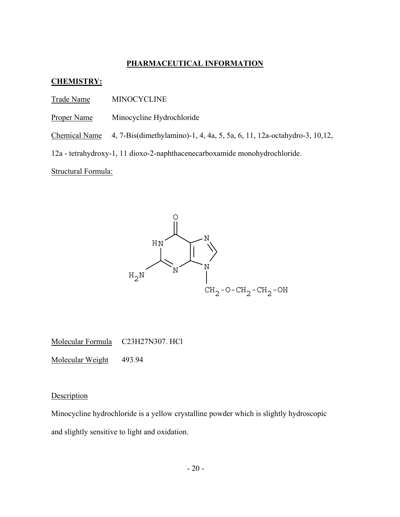## **PHARMACEUTICAL INFORMATION**

#### **CHEMISTRY:**

- Trade Name MINOCYCLINE
- Proper Name Minocycline Hydrochloride
- Chemical Name 4, 7-Bis(dimethylamino)-1, 4, 4a, 5, 5a, 6, 11, 12a-octahydro-3, 10,12,

12a - tetrahydroxy-1, 11 dioxo-2-naphthacenecarboxamide monohydrochloride.

Structural Formula:



Molecular Formula C23H27N307. HCl

Molecular Weight 493.94

**Description** 

Minocycline hydrochloride is a yellow crystalline powder which is slightly hydroscopic and slightly sensitive to light and oxidation.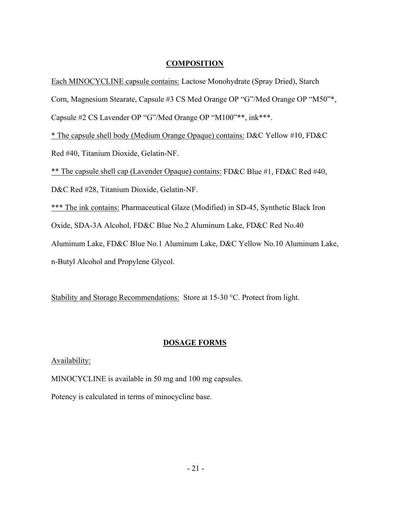### **COMPOSITION**

Each MINOCYCLINE capsule contains: Lactose Monohydrate (Spray Dried), Starch

Corn, Magnesium Stearate, Capsule #3 CS Med Orange OP "G"/Med Orange OP "M50"\*,

Capsule #2 CS Lavender OP "G"/Med Orange OP "M100"\*\*, ink\*\*\*.

\* The capsule shell body (Medium Orange Opaque) contains: D&C Yellow #10, FD&C

Red #40, Titanium Dioxide, Gelatin-NF.

\*\* The capsule shell cap (Lavender Opaque) contains: FD&C Blue #1, FD&C Red #40,

D&C Red #28, Titanium Dioxide, Gelatin-NF.

\*\*\* The ink contains: Pharmaceutical Glaze (Modified) in SD-45, Synthetic Black Iron

Oxide, SDA-3A Alcohol, FD&C Blue No.2 Aluminum Lake, FD&C Red No.40

Aluminum Lake, FD&C Blue No.1 Aluminum Lake, D&C Yellow No.10 Aluminum Lake,

n-Butyl Alcohol and Propylene Glycol.

Stability and Storage Recommendations: Store at 15-30 °C. Protect from light.

## **DOSAGE FORMS**

## Availability:

MINOCYCLINE is available in 50 mg and 100 mg capsules.

Potency is calculated in terms of minocycline base.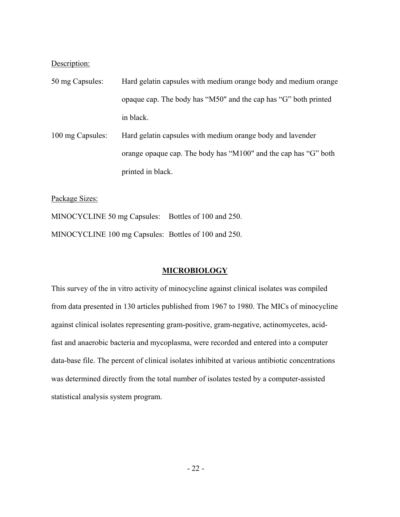Description:

- 50 mg Capsules: Hard gelatin capsules with medium orange body and medium orange opaque cap. The body has "M50" and the cap has "G" both printed in black.
- 100 mg Capsules: Hard gelatin capsules with medium orange body and lavender orange opaque cap. The body has "M100" and the cap has "G" both printed in black.

Package Sizes:

MINOCYCLINE 50 mg Capsules: Bottles of 100 and 250. MINOCYCLINE 100 mg Capsules: Bottles of 100 and 250.

#### **MICROBIOLOGY**

This survey of the in vitro activity of minocycline against clinical isolates was compiled from data presented in 130 articles published from 1967 to 1980. The MICs of minocycline against clinical isolates representing gram-positive, gram-negative, actinomycetes, acidfast and anaerobic bacteria and mycoplasma, were recorded and entered into a computer data-base file. The percent of clinical isolates inhibited at various antibiotic concentrations was determined directly from the total number of isolates tested by a computer-assisted statistical analysis system program.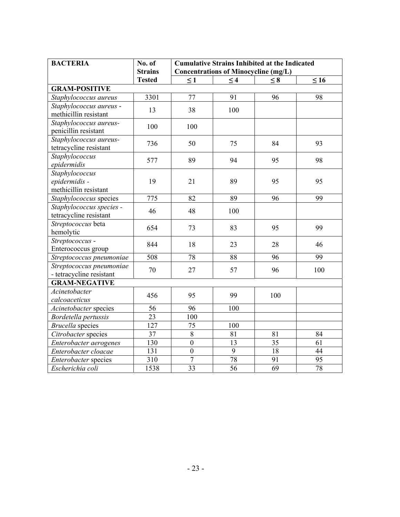| <b>BACTERIA</b>                                          | No. of               | <b>Cumulative Strains Inhibited at the Indicated</b> |                 |                 |           |  |
|----------------------------------------------------------|----------------------|------------------------------------------------------|-----------------|-----------------|-----------|--|
|                                                          | <b>Strains</b>       | <b>Concentrations of Minocycline (mg/L)</b>          |                 |                 |           |  |
|                                                          | <b>Tested</b>        | $\leq 1$                                             | $\leq 4$        | $\leq 8$        | $\leq 16$ |  |
|                                                          | <b>GRAM-POSITIVE</b> |                                                      |                 |                 |           |  |
| Staphylococcus aureus                                    | 3301                 | 77                                                   | 91              | 96              | 98        |  |
| Staphylococcus aureus -<br>methicillin resistant         | 13                   | 38                                                   | 100             |                 |           |  |
| Staphylococcus aureus-<br>penicillin resistant           | 100                  | 100                                                  |                 |                 |           |  |
| Staphylococcus aureus-<br>tetracycline resistant         | 736                  | 50                                                   | 75              | 84              | 93        |  |
| Staphylococcus<br>epidermidis                            | 577                  | 89                                                   | 94              | 95              | 98        |  |
| Staphylococcus<br>epidermidis -<br>methicillin resistant | 19                   | 21                                                   | 89              | 95              | 95        |  |
| Staphylococcus species                                   | 775                  | 82                                                   | 89              | 96              | 99        |  |
| Staphylococcus species -<br>tetracycline resistant       | 46                   | 48                                                   | 100             |                 |           |  |
| Streptococcus beta<br>hemolytic                          | 654                  | 73                                                   | 83              | 95              | 99        |  |
| Streptococcus -<br>Enterococcus group                    | 844                  | 18                                                   | 23              | 28              | 46        |  |
| Streptococcus pneumoniae                                 | 508                  | 78                                                   | 88              | 96              | 99        |  |
| Streptococcus pneumoniae<br>- tetracycline resistant     | 70                   | 27                                                   | 57              | 96              | 100       |  |
| <b>GRAM-NEGATIVE</b>                                     |                      |                                                      |                 |                 |           |  |
| Acinetobacter<br>calcoaceticus                           | 456                  | 95                                                   | 99              | 100             |           |  |
| Acinetobacter species                                    | 56                   | 96                                                   | 100             |                 |           |  |
| Bordetella pertussis                                     | 23                   | 100                                                  |                 |                 |           |  |
| <b>Brucella</b> species                                  | 127                  | 75                                                   | 100             |                 |           |  |
| Citrobacter species                                      | 37                   | 8                                                    | 81              | 81              | 84        |  |
| Enterobacter aerogenes                                   | 130                  | $\boldsymbol{0}$                                     | 13              | $\overline{35}$ | 61        |  |
| Enterobacter cloacae                                     | 131                  | $\boldsymbol{0}$                                     | $\overline{9}$  | 18              | 44        |  |
| Enterobacter species                                     | 310                  | $\overline{7}$                                       | 78              | 91              | 95        |  |
| Escherichia coli                                         | 1538                 | 33                                                   | $\overline{56}$ | 69              | 78        |  |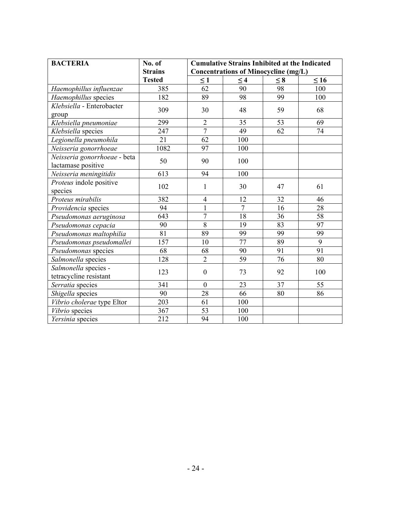| <b>BACTERIA</b>                                    | No. of           | <b>Cumulative Strains Inhibited at the Indicated</b> |                  |                 |                 |
|----------------------------------------------------|------------------|------------------------------------------------------|------------------|-----------------|-----------------|
|                                                    | <b>Strains</b>   | <b>Concentrations of Minocycline (mg/L)</b>          |                  |                 |                 |
|                                                    | <b>Tested</b>    | $\leq 1$                                             | $\leq 4$         | $\leq 8$        | $\leq 16$       |
| Haemophillus influenzae                            | 385              | 62                                                   | 90               | 98              | 100             |
| Haemophillus species                               | 182              | 89                                                   | 98               | 99              | 100             |
| Klebsiella - Enterobacter                          | 309              | 30                                                   | 48               | 59              | 68              |
| group                                              |                  |                                                      |                  |                 |                 |
| Klebsiella pneumoniae                              | 299              | $\overline{2}$<br>$\overline{7}$                     | 35               | 53              | 69              |
| Klebsiella species                                 | $\overline{247}$ |                                                      | $\overline{49}$  | $\overline{62}$ | $\overline{74}$ |
| Legionella pneumohila                              | $\overline{21}$  | 62                                                   | $\overline{100}$ |                 |                 |
| Neisseria gonorrhoeae                              | 1082             | 97                                                   | 100              |                 |                 |
| Neisseria gonorrhoeae - beta<br>lactamase positive | 50               | 90                                                   | 100              |                 |                 |
| Neisseria meningitidis                             | 613              | 94                                                   | 100              |                 |                 |
| Proteus indole positive<br>species                 | 102              | 1                                                    | 30               | 47              | 61              |
| Proteus mirabilis                                  | 382              | $\overline{4}$                                       | 12               | 32              | 46              |
| Providencia species                                | 94               | $\mathbf{1}$                                         | $\overline{7}$   | 16              | 28              |
| Pseudomonas aeruginosa                             | 643              | $\overline{7}$                                       | 18               | 36              | 58              |
| Pseudomonas cepacia                                | 90               | $\overline{8}$                                       | 19               | 83              | 97              |
| Pseudomonas maltophilia                            | 81               | 89                                                   | 99               | 99              | 99              |
| Pseudomonas pseudomallei                           | 157              | 10                                                   | $\overline{77}$  | 89              | $\overline{9}$  |
| Pseudomonas species                                | 68               | 68                                                   | 90               | 91              | $\overline{91}$ |
| Salmonella species                                 | 128              | $\overline{2}$                                       | 59               | 76              | 80              |
| Salmonella species -                               | 123              | $\mathbf{0}$                                         | 73               | 92              | 100             |
| tetracycline resistant                             |                  |                                                      |                  |                 |                 |
| Serratia species                                   | 341              | $\theta$                                             | 23               | 37              | 55              |
| Shigella species                                   | 90               | $\overline{28}$                                      | 66               | 80              | 86              |
| Vibrio cholerae type Eltor                         | 203              | 61                                                   | 100              |                 |                 |
| Vibrio species                                     | 367              | 53                                                   | 100              |                 |                 |
| Yersinia species                                   | 212              | 94                                                   | 100              |                 |                 |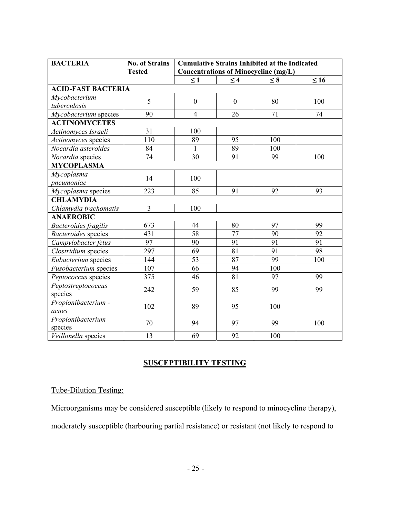| <b>BACTERIA</b>             | <b>No. of Strains</b> | <b>Cumulative Strains Inhibited at the Indicated</b> |                 |                 |           |
|-----------------------------|-----------------------|------------------------------------------------------|-----------------|-----------------|-----------|
|                             | <b>Tested</b>         | <b>Concentrations of Minocycline (mg/L)</b>          |                 |                 |           |
|                             |                       | $\leq 1$                                             | $\leq 4$        | $\leq 8$        | $\leq 16$ |
| <b>ACID-FAST BACTERIA</b>   |                       |                                                      |                 |                 |           |
| Mycobacterium               | 5                     | $\mathbf{0}$                                         | $\theta$        | 80              | 100       |
| tuberculosis                |                       |                                                      |                 |                 |           |
| Mycobacterium species       | 90                    | $\overline{4}$                                       | 26              | 71              | 74        |
| <b>ACTINOMYCETES</b>        |                       |                                                      |                 |                 |           |
| Actinomyces Israeli         | 31                    | 100                                                  |                 |                 |           |
| Actinomyces species         | 110                   | 89                                                   | 95              | 100             |           |
| Nocardia asteroides         | 84                    | $\mathbf{1}$                                         | 89              | 100             |           |
| Nocardia species            | 74                    | $\overline{30}$                                      | 91              | 99              | 100       |
| <b>MYCOPLASMA</b>           |                       |                                                      |                 |                 |           |
| Mycoplasma                  | 14                    | 100                                                  |                 |                 |           |
| pneumoniae                  |                       |                                                      |                 |                 |           |
| Mycoplasma species          | 223                   | 85                                                   | 91              | 92              | 93        |
| <b>CHLAMYDIA</b>            |                       |                                                      |                 |                 |           |
| Chlamydia trachomatis       | $\overline{3}$        | 100                                                  |                 |                 |           |
| <b>ANAEROBIC</b>            |                       |                                                      |                 |                 |           |
| <b>Bacteroides</b> fragilis | 673                   | 44                                                   | 80              | 97              | 99        |
| <b>Bacteroides</b> species  | 431                   | 58                                                   | 77              | 90              | 92        |
| Campylobacter fetus         | 97                    | 90                                                   | 91              | 91              | 91        |
| Clostridium species         | 297                   | 69                                                   | $\overline{81}$ | $\overline{91}$ | 98        |
| Eubacterium species         | 144                   | 53                                                   | 87              | 99              | 100       |
| Fusobacterium species       | 107                   | 66                                                   | 94              | 100             |           |
| Peptococcus species         | 375                   | 46                                                   | 81              | 97              | 99        |
| Peptostreptococcus          | 242                   | 59                                                   | 85              | 99              | 99        |
| species                     |                       |                                                      |                 |                 |           |
| Propionibacterium -         | 102                   | 89                                                   | 95              | 100             |           |
| acnes                       |                       |                                                      |                 |                 |           |
| Propionibacterium           | 70                    | 94                                                   | 97              | 99              | 100       |
| species                     |                       |                                                      |                 |                 |           |
| Veillonella species         | 13                    | 69                                                   | 92              | 100             |           |

## **SUSCEPTIBILITY TESTING**

## Tube-Dilution Testing:

Microorganisms may be considered susceptible (likely to respond to minocycline therapy),

moderately susceptible (harbouring partial resistance) or resistant (not likely to respond to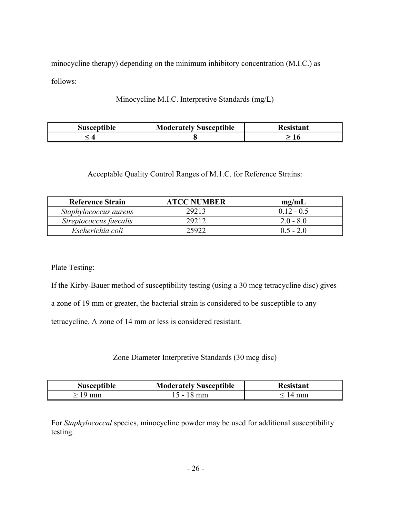minocycline therapy) depending on the minimum inhibitory concentration (M.I.C.) as follows:

Minocycline M.I.C. Interpretive Standards (mg/L)

| <b>Susceptible</b> | <b>Moderately Susceptible</b> | Resistant |
|--------------------|-------------------------------|-----------|
|                    |                               |           |

Acceptable Quality Control Ranges of M.1.C. for Reference Strains:

| <b>Reference Strain</b> | <b>ATCC NUMBER</b> | mg/mL        |
|-------------------------|--------------------|--------------|
| Staphylococcus aureus   | 29213              | $0.12 - 0.5$ |
| Streptococcus faecalis  | 29212              | $2.0 - 8.0$  |
| Escherichia coli        | 25922              | $0.5 - 2.0$  |

## Plate Testing:

If the Kirby-Bauer method of susceptibility testing (using a 30 mcg tetracycline disc) gives a zone of 19 mm or greater, the bacterial strain is considered to be susceptible to any tetracycline. A zone of 14 mm or less is considered resistant.

Zone Diameter Interpretive Standards (30 mcg disc)

| <b>Susceptible</b> | <b>Moderately Susceptible</b> | <b>Resistant</b> |
|--------------------|-------------------------------|------------------|
| * 19 mm            | $15 - 18$ mm                  | 14 mm            |

For *Staphylococcal* species, minocycline powder may be used for additional susceptibility testing.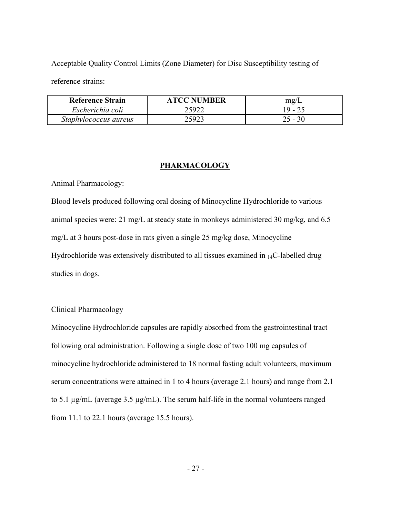Acceptable Quality Control Limits (Zone Diameter) for Disc Susceptibility testing of

reference strains:

| <b>Reference Strain</b> | <b>ATCC NUMBER</b> | mg/       |
|-------------------------|--------------------|-----------|
| Escherichia coli        | 25922              | $19 - 25$ |
| Staphylococcus aureus   | 25923              |           |

#### **PHARMACOLOGY**

#### Animal Pharmacology:

Blood levels produced following oral dosing of Minocycline Hydrochloride to various animal species were: 21 mg/L at steady state in monkeys administered 30 mg/kg, and 6.5 mg/L at 3 hours post-dose in rats given a single 25 mg/kg dose, Minocycline Hydrochloride was extensively distributed to all tissues examined in  $_{14}C$ -labelled drug studies in dogs.

### Clinical Pharmacology

Minocycline Hydrochloride capsules are rapidly absorbed from the gastrointestinal tract following oral administration. Following a single dose of two 100 mg capsules of minocycline hydrochloride administered to 18 normal fasting adult volunteers, maximum serum concentrations were attained in 1 to 4 hours (average 2.1 hours) and range from 2.1 to 5.1 µg/mL (average 3.5 µg/mL). The serum half-life in the normal volunteers ranged from 11.1 to 22.1 hours (average 15.5 hours).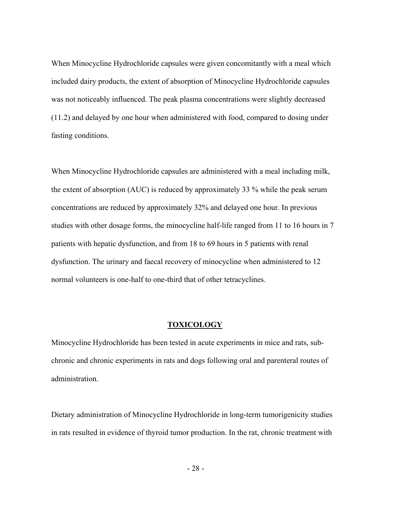When Minocycline Hydrochloride capsules were given concomitantly with a meal which included dairy products, the extent of absorption of Minocycline Hydrochloride capsules was not noticeably influenced. The peak plasma concentrations were slightly decreased (11.2) and delayed by one hour when administered with food, compared to dosing under fasting conditions.

When Minocycline Hydrochloride capsules are administered with a meal including milk, the extent of absorption (AUC) is reduced by approximately 33 % while the peak serum concentrations are reduced by approximately 32% and delayed one hour. In previous studies with other dosage forms, the minocycline half-life ranged from 11 to 16 hours in 7 patients with hepatic dysfunction, and from 18 to 69 hours in 5 patients with renal dysfunction. The urinary and faecal recovery of minocycline when administered to 12 normal volunteers is one-half to one-third that of other tetracyclines.

#### **TOXICOLOGY**

Minocycline Hydrochloride has been tested in acute experiments in mice and rats, subchronic and chronic experiments in rats and dogs following oral and parenteral routes of administration.

Dietary administration of Minocycline Hydrochloride in long-term tumorigenicity studies in rats resulted in evidence of thyroid tumor production. In the rat, chronic treatment with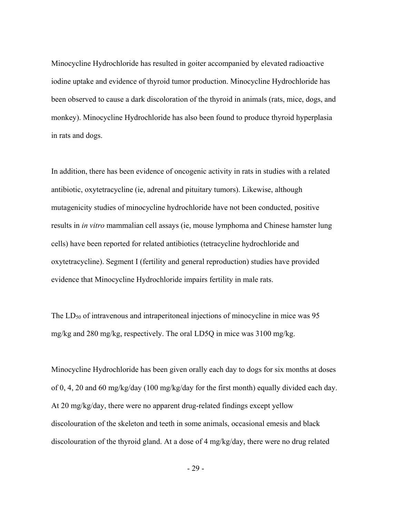Minocycline Hydrochloride has resulted in goiter accompanied by elevated radioactive iodine uptake and evidence of thyroid tumor production. Minocycline Hydrochloride has been observed to cause a dark discoloration of the thyroid in animals (rats, mice, dogs, and monkey). Minocycline Hydrochloride has also been found to produce thyroid hyperplasia in rats and dogs.

In addition, there has been evidence of oncogenic activity in rats in studies with a related antibiotic, oxytetracycline (ie, adrenal and pituitary tumors). Likewise, although mutagenicity studies of minocycline hydrochloride have not been conducted, positive results in *in vitro* mammalian cell assays (ie, mouse lymphoma and Chinese hamster lung cells) have been reported for related antibiotics (tetracycline hydrochloride and oxytetracycline). Segment I (fertility and general reproduction) studies have provided evidence that Minocycline Hydrochloride impairs fertility in male rats.

The  $LD_{50}$  of intravenous and intraperitoneal injections of minocycline in mice was 95 mg/kg and 280 mg/kg, respectively. The oral LD5Q in mice was 3100 mg/kg.

Minocycline Hydrochloride has been given orally each day to dogs for six months at doses of 0, 4, 20 and 60 mg/kg/day (100 mg/kg/day for the first month) equally divided each day. At 20 mg/kg/day, there were no apparent drug-related findings except yellow discolouration of the skeleton and teeth in some animals, occasional emesis and black discolouration of the thyroid gland. At a dose of 4 mg/kg/day, there were no drug related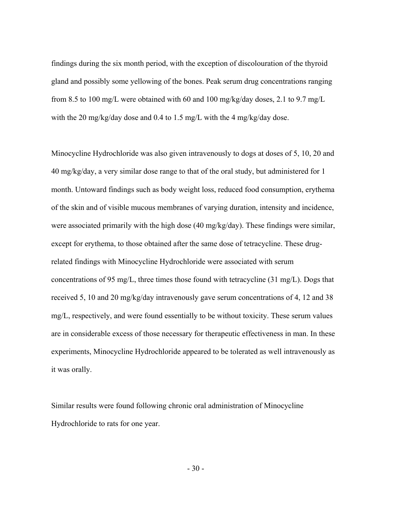findings during the six month period, with the exception of discolouration of the thyroid gland and possibly some yellowing of the bones. Peak serum drug concentrations ranging from 8.5 to 100 mg/L were obtained with 60 and 100 mg/kg/day doses, 2.1 to 9.7 mg/L with the 20 mg/kg/day dose and 0.4 to 1.5 mg/L with the 4 mg/kg/day dose.

Minocycline Hydrochloride was also given intravenously to dogs at doses of 5, 10, 20 and 40 mg/kg/day, a very similar dose range to that of the oral study, but administered for 1 month. Untoward findings such as body weight loss, reduced food consumption, erythema of the skin and of visible mucous membranes of varying duration, intensity and incidence, were associated primarily with the high dose (40 mg/kg/day). These findings were similar, except for erythema, to those obtained after the same dose of tetracycline. These drugrelated findings with Minocycline Hydrochloride were associated with serum concentrations of 95 mg/L, three times those found with tetracycline (31 mg/L). Dogs that received 5, 10 and 20 mg/kg/day intravenously gave serum concentrations of 4, 12 and 38 mg/L, respectively, and were found essentially to be without toxicity. These serum values are in considerable excess of those necessary for therapeutic effectiveness in man. In these experiments, Minocycline Hydrochloride appeared to be tolerated as well intravenously as it was orally.

Similar results were found following chronic oral administration of Minocycline Hydrochloride to rats for one year.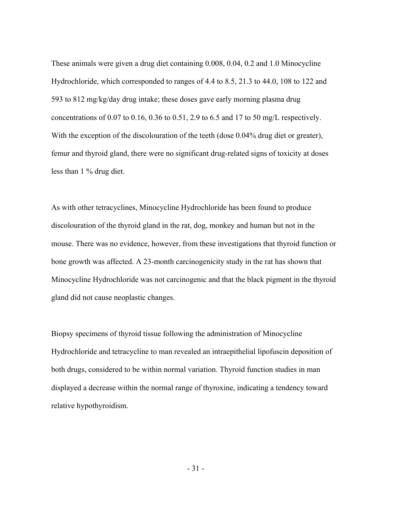These animals were given a drug diet containing 0.008, 0.04, 0.2 and 1.0 Minocycline Hydrochloride, which corresponded to ranges of 4.4 to 8.5, 21.3 to 44.0, 108 to 122 and 593 to 812 mg/kg/day drug intake; these doses gave early morning plasma drug concentrations of 0.07 to 0.16, 0.36 to 0.51, 2.9 to 6.5 and 17 to 50 mg/L respectively. With the exception of the discolouration of the teeth (dose 0.04% drug diet or greater), femur and thyroid gland, there were no significant drug-related signs of toxicity at doses less than 1 % drug diet.

As with other tetracyclines, Minocycline Hydrochloride has been found to produce discolouration of the thyroid gland in the rat, dog, monkey and human but not in the mouse. There was no evidence, however, from these investigations that thyroid function or bone growth was affected. A 23-month carcinogenicity study in the rat has shown that Minocycline Hydrochloride was not carcinogenic and that the black pigment in the thyroid gland did not cause neoplastic changes.

Biopsy specimens of thyroid tissue following the administration of Minocycline Hydrochloride and tetracycline to man revealed an intraepithelial lipofuscin deposition of both drugs, considered to be within normal variation. Thyroid function studies in man displayed a decrease within the normal range of thyroxine, indicating a tendency toward relative hypothyroidism.

- 31 -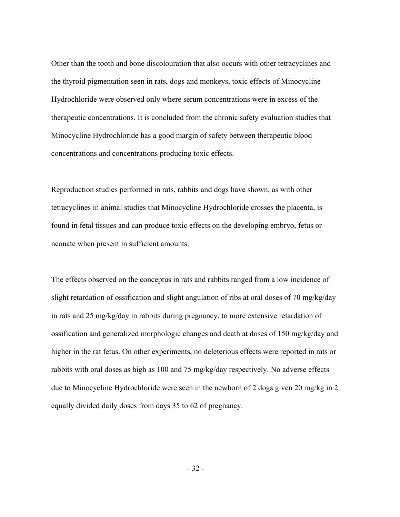Other than the tooth and bone discolouration that also occurs with other tetracyclines and the thyroid pigmentation seen in rats, dogs and monkeys, toxic effects of Minocycline Hydrochloride were observed only where serum concentrations were in excess of the therapeutic concentrations. It is concluded from the chronic safety evaluation studies that Minocycline Hydrochloride has a good margin of safety between therapeutic blood concentrations and concentrations producing toxic effects.

Reproduction studies performed in rats, rabbits and dogs have shown, as with other tetracyclines in animal studies that Minocycline Hydrochloride crosses the placenta, is found in fetal tissues and can produce toxic effects on the developing embryo, fetus or neonate when present in sufficient amounts.

The effects observed on the conceptus in rats and rabbits ranged from a low incidence of slight retardation of ossification and slight angulation of ribs at oral doses of 70 mg/kg/day in rats and 25 mg/kg/day in rabbits during pregnancy, to more extensive retardation of ossification and generalized morphologic changes and death at doses of 150 mg/kg/day and higher in the rat fetus. On other experiments, no deleterious effects were reported in rats or rabbits with oral doses as high as 100 and 75 mg/kg/day respectively. No adverse effects due to Minocycline Hydrochloride were seen in the newborn of 2 dogs given 20 mg/kg in 2 equally divided daily doses from days 35 to 62 of pregnancy.

- 32 -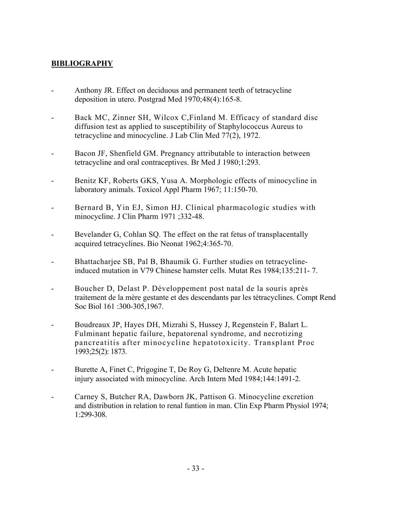## **BIBLIOGRAPHY**

- Anthony JR. Effect on deciduous and permanent teeth of tetracycline deposition in utero. Postgrad Med 1970;48(4):165-8.
- Back MC, Zinner SH, Wilcox C, Finland M. Efficacy of standard disc diffusion test as applied to susceptibility of Staphylococcus Aureus to tetracycline and minocycline. J Lab Clin Med 77(2), 1972.
- Bacon JF, Shenfield GM. Pregnancy attributable to interaction between tetracycline and oral contraceptives. Br Med J 1980;1:293.
- Benitz KF, Roberts GKS, Yusa A. Morphologic effects of minocycline in laboratory animals. Toxicol Appl Pharm 1967; 11:150-70.
- Bernard B, Yin EJ, Simon HJ. Clinical pharmacologic studies with minocycline. J Clin Pharm 1971 ;332-48.
- Bevelander G, Cohlan SO. The effect on the rat fetus of transplacentally acquired tetracyclines. Bio Neonat 1962;4:365-70.
- Bhattacharjee SB, Pal B, Bhaumik G. Further studies on tetracyclineinduced mutation in V79 Chinese hamster cells. Mutat Res 1984;135:211- 7.
- Boucher D, Delast P. Développement post natal de la souris après traitement de la mère gestante et des descendants par les tétracyclines. Compt Rend Soc Biol 161 :300-305,1967.
- Boudreaux JP, Hayes DH, Mizrahi S, Hussey J, Regenstein F, Balart L. Fulminant hepatic failure, hepatorenal syndrome, and necrotizing pancreatitis after minocycline hepatotoxicity. Transplant Proc 1993;25(2): 1873.
- Burette A, Finet C, Prigogine T, De Roy G, Deltenre M. Acute hepatic injury associated with minocycline. Arch Intern Med 1984;144:1491-2.
- Carney S, Butcher RA, Dawborn JK, Pattison G. Minocycline excretion and distribution in relation to renal funtion in man. Clin Exp Pharm Physiol 1974; 1:299-308.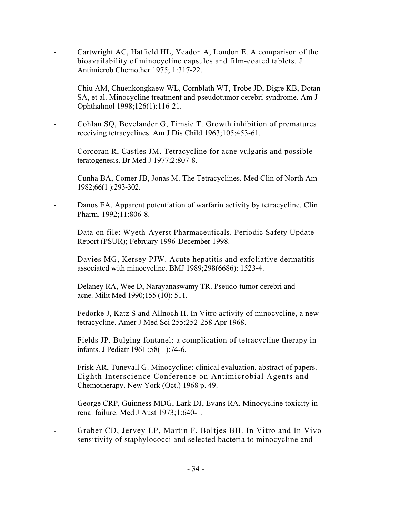- Cartwright AC, Hatfield HL, Yeadon A, London E. A comparison of the bioavailability of minocycline capsules and film-coated tablets. J Antimicrob Chemother 1975; 1:317-22.
- Chiu AM, Chuenkongkaew WL, Cornblath WT, Trobe JD, Digre KB, Dotan SA, et al. Minocycline treatment and pseudotumor cerebri syndrome. Am J Ophthalmol 1998;126(1):116-21.
- Cohlan SQ, Bevelander G, Timsic T. Growth inhibition of prematures receiving tetracyclines. Am J Dis Child 1963;105:453-61.
- Corcoran R, Castles JM. Tetracycline for acne vulgaris and possible teratogenesis. Br Med J 1977;2:807-8.
- Cunha BA, Comer JB, Jonas M. The Tetracyclines. Med Clin of North Am 1982;66(1 ):293-302.
- Danos EA. Apparent potentiation of warfarin activity by tetracycline. Clin Pharm. 1992;11:806-8.
- Data on file: Wyeth-Ayerst Pharmaceuticals. Periodic Safety Update Report (PSUR); February 1996-December 1998.
- Davies MG, Kersey PJW. Acute hepatitis and exfoliative dermatitis associated with minocycline. BMJ 1989;298(6686): 1523-4.
- Delaney RA, Wee D, Narayanaswamy TR. Pseudo-tumor cerebri and acne. Milit Med 1990;155 (10): 511.
- Fedorke J, Katz S and Allnoch H. In Vitro activity of minocycline, a new tetracycline. Amer J Med Sci 255:252-258 Apr 1968.
- Fields JP. Bulging fontanel: a complication of tetracycline therapy in infants. J Pediatr 1961 ;58(1 ):74-6.
- Frisk AR, Tunevall G. Minocycline: clinical evaluation, abstract of papers. Eighth Interscience Conference on Antimicrobial Agents and Chemotherapy. New York (Oct.) 1968 p. 49.
- George CRP, Guinness MDG, Lark DJ, Evans RA. Minocycline toxicity in renal failure. Med J Aust 1973;1:640-1.
- Graber CD, Jervey LP, Martin F, Boltjes BH. In Vitro and In Vivo sensitivity of staphylococci and selected bacteria to minocycline and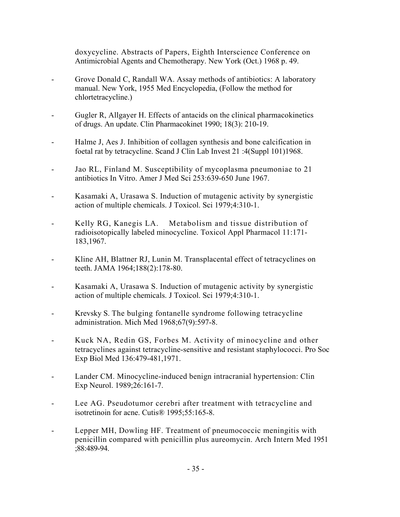doxycycline. Abstracts of Papers, Eighth Interscience Conference on Antimicrobial Agents and Chemotherapy. New York (Oct.) 1968 p. 49.

- Grove Donald C, Randall WA. Assay methods of antibiotics: A laboratory manual. New York, 1955 Med Encyclopedia, (Follow the method for chlortetracycline.)
- Gugler R, Allgayer H. Effects of antacids on the clinical pharmacokinetics of drugs. An update. Clin Pharmacokinet 1990; 18(3): 210-19.
- Halme J, Aes J. Inhibition of collagen synthesis and bone calcification in foetal rat by tetracycline. Scand J Clin Lab Invest 21 :4(Suppl 101)1968.
- Jao RL, Finland M. Susceptibility of mycoplasma pneumoniae to 21 antibiotics In Vitro. Amer J Med Sci 253:639-650 June 1967.
- Kasamaki A, Urasawa S. Induction of mutagenic activity by synergistic action of multiple chemicals. J Toxicol. Sci 1979;4:310-1.
- Kelly RG, Kanegis LA. Metabolism and tissue distribution of radioisotopically labeled minocycline. Toxicol Appl Pharmacol 11:171- 183,1967.
- Kline AH, Blattner RJ, Lunin M. Transplacental effect of tetracyclines on teeth. JAMA 1964;188(2):178-80.
- Kasamaki A, Urasawa S. Induction of mutagenic activity by synergistic action of multiple chemicals. J Toxicol. Sci 1979;4:310-1.
- Krevsky S. The bulging fontanelle syndrome following tetracycline administration. Mich Med 1968;67(9):597-8.
- Kuck NA, Redin GS, Forbes M. Activity of minocycline and other tetracyclines against tetracycline-sensitive and resistant staphylococci. Pro Soc Exp Biol Med 136:479-481,1971.
- Lander CM. Minocycline-induced benign intracranial hypertension: Clin Exp Neurol. 1989;26:161-7.
- Lee AG. Pseudotumor cerebri after treatment with tetracycline and isotretinoin for acne. Cutis® 1995;55:165-8.
- Lepper MH, Dowling HF. Treatment of pneumococcic meningitis with penicillin compared with penicillin plus aureomycin. Arch Intern Med 1951 ;88:489-94.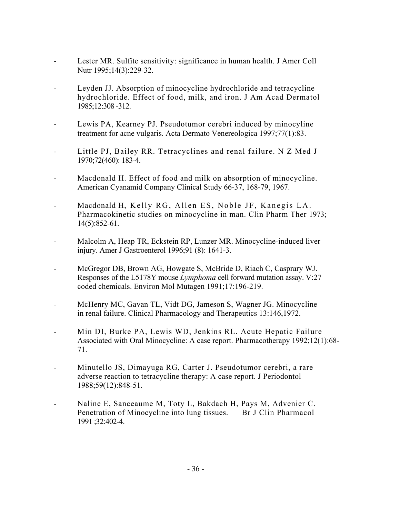- Lester MR. Sulfite sensitivity: significance in human health. J Amer Coll Nutr 1995;14(3):229-32.
- Leyden JJ. Absorption of minocycline hydrochloride and tetracycline hydrochloride. Effect of food, milk, and iron. J Am Acad Dermatol 1985;12:308 -312.
- Lewis PA, Kearney PJ. Pseudotumor cerebri induced by minocyline treatment for acne vulgaris. Acta Dermato Venereologica 1997;77(1):83.
- Little PJ, Bailey RR. Tetracyclines and renal failure. N Z Med J 1970;72(460): 183-4.
- Macdonald H. Effect of food and milk on absorption of minocycline. American Cyanamid Company Clinical Study 66-37, 168-79, 1967.
- Macdonald H, Kelly RG, Allen ES, Noble JF, Kanegis LA. Pharmacokinetic studies on minocycline in man. Clin Pharm Ther 1973; 14(5):852-61.
- Malcolm A, Heap TR, Eckstein RP, Lunzer MR. Minocycline-induced liver injury. Amer J Gastroenterol 1996;91 (8): 1641-3.
- McGregor DB, Brown AG, Howgate S, McBride D, Riach C, Casprary WJ. Responses of the L5178Y mouse *Lymphoma* cell forward mutation assay. V:27 coded chemicals. Environ Mol Mutagen 1991;17:196-219.
- McHenry MC, Gavan TL, Vidt DG, Jameson S, Wagner JG. Minocycline in renal failure. Clinical Pharmacology and Therapeutics 13:146,1972.
- Min DI, Burke PA, Lewis WD, Jenkins RL. Acute Hepatic Failure Associated with Oral Minocycline: A case report. Pharmacotherapy 1992;12(1):68- 71.
- Minutello JS, Dimayuga RG, Carter J. Pseudotumor cerebri, a rare adverse reaction to tetracycline therapy: A case report. J Periodontol 1988;59(12):848-51.
- Naline E, Sanceaume M, Toty L, Bakdach H, Pays M, Advenier C. Penetration of Minocycline into lung tissues. Br J Clin Pharmacol 1991 ;32:402-4.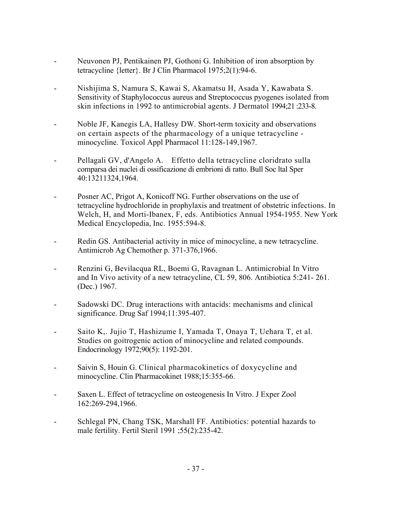- Neuvonen PJ, Pentikainen PJ, Gothoni G. Inhibition of iron absorption by tetracycline {letter}. Br J Clin Pharmacol 1975;2(1):94-6.
- Nishijima S, Namura S, Kawai S, Akamatsu H, Asada Y, Kawabata S. Sensitivity of Staphylococcus aureus and Streptococcus pyogenes isolated from skin infections in 1992 to antimicrobial agents. J Dermatol 1994;21 :233-8.
- Noble JF, Kanegis LA, Hallesy DW. Short-term toxicity and observations on certain aspects of the pharmacology of a unique tetracycline minocycline. Toxicol Appl Pharmacol 11:128-149,1967.
- Pellagali GV, d'Angelo A. Effetto della tetracycline cloridrato sulla comparsa dei nuclei di ossificazione di embrioni di ratto. Bull Soc ltal Sper 40:13211324,1964.
- Posner AC, Prigot A, Konicoff NG. Further observations on the use of tetracycline hydrochloride in prophylaxis and treatment of obstetric infections. In Welch, H, and Morti-Ibanex, F, eds. Antibiotics Annual 1954-1955. New York Medical Encyclopedia, Inc. 1955:594-8.
- Redin GS. Antibacterial activity in mice of minocycline, a new tetracycline. Antimicrob Ag Chemother p. 371-376,1966.
- Renzini G, Bevilacqua RL, Boemi G, Ravagnan L. Antimicrobial In Vitro and In Vivo activity of a new tetracycline, CL 59, 806. Antibiotica 5:241- 261. (Dec.) 1967.
- Sadowski DC. Drug interactions with antacids: mechanisms and clinical significance. Drug Saf 1994;11:395-407.
- Saito K,. Jujio T, Hashizume I, Yamada T, Onaya T, Uehara T, et al. Studies on goitrogenic action of minocycline and related compounds. Endocrinology 1972;90(5): 1192-201.
- Saivin S, Houin G. Clinical pharmacokinetics of doxycycline and minocycline. Clin Pharmacokinet 1988;15:355-66.
- Saxen L. Effect of tetracycline on osteogenesis In Vitro. J Exper Zool 162:269-294,1966.
- Schlegal PN, Chang TSK, Marshall FF. Antibiotics: potential hazards to male fertility. Fertil Steril 1991 ;55(2):235-42.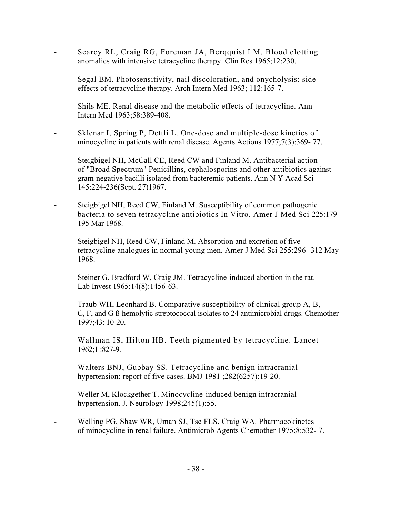- Searcy RL, Craig RG, Foreman JA, Berqquist LM. Blood clotting anomalies with intensive tetracycline therapy. Clin Res 1965;12:230.
- Segal BM. Photosensitivity, nail discoloration, and onycholysis: side effects of tetracycline therapy. Arch Intern Med 1963; 112:165-7.
- Shils ME. Renal disease and the metabolic effects of tetracycline. Ann Intern Med 1963;58:389-408.
- Sklenar I, Spring P, Dettli L. One-dose and multiple-dose kinetics of minocycline in patients with renal disease. Agents Actions 1977;7(3):369- 77.
- Steigbigel NH, McCall CE, Reed CW and Finland M. Antibacterial action of "Broad Spectrum" Penicillins, cephalosporins and other antibiotics against gram-negative bacilli isolated from bacteremic patients. Ann N Y Acad Sci 145:224-236(Sept. 27)1967.
- Steigbigel NH, Reed CW, Finland M. Susceptibility of common pathogenic bacteria to seven tetracycline antibiotics In Vitro. Amer J Med Sci 225:179- 195 Mar 1968.
- Steigbigel NH, Reed CW, Finland M. Absorption and excretion of five tetracycline analogues in normal young men. Amer J Med Sci 255:296- 312 May 1968.
- Steiner G, Bradford W, Craig JM. Tetracycline-induced abortion in the rat. Lab Invest 1965;14(8):1456-63.
- Traub WH, Leonhard B. Comparative susceptibility of clinical group A, B, C, F, and G ß-hemolytic streptococcal isolates to 24 antimicrobial drugs. Chemother 1997;43: 10-20.
- Wallman IS, Hilton HB. Teeth pigmented by tetracycline. Lancet 1962;1 :827-9.
- Walters BNJ, Gubbay SS. Tetracycline and benign intracranial hypertension: report of five cases. BMJ 1981 ;282(6257):19-20.
- Weller M, Klockgether T. Minocycline-induced benign intracranial hypertension. J. Neurology 1998;245(1):55.
- Welling PG, Shaw WR, Uman SJ, Tse FLS, Craig WA. Pharmacokinetcs of minocycline in renal failure. Antimicrob Agents Chemother 1975;8:532- 7.